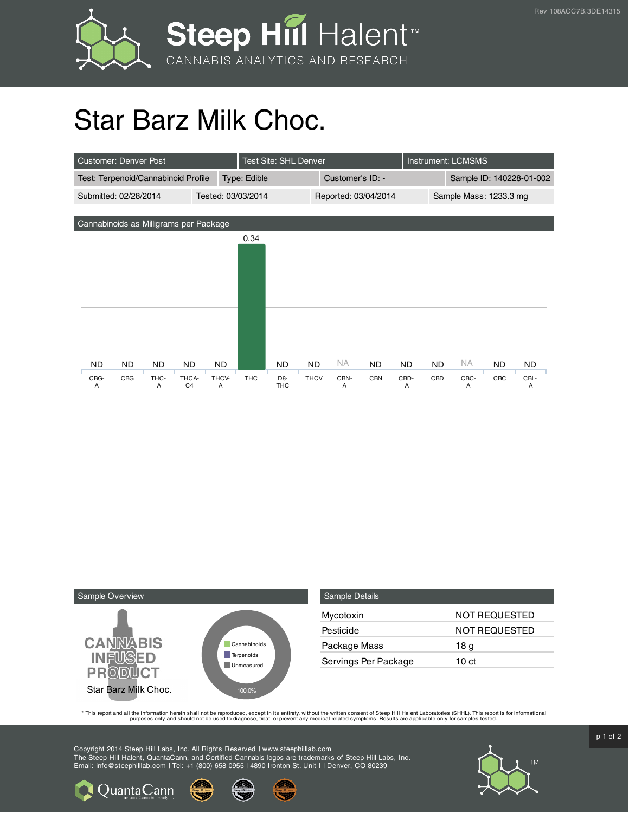

## Star Barz Milk Choc.

| <b>Customer: Denver Post</b>                |           |                         |              | Test Site: SHL Denver |                              |                  |           |                        |                          | <b>Instrument: LCMSMS</b> |           |     |           |
|---------------------------------------------|-----------|-------------------------|--------------|-----------------------|------------------------------|------------------|-----------|------------------------|--------------------------|---------------------------|-----------|-----|-----------|
| Test: Terpenoid/Cannabinoid Profile         |           |                         | Type: Edible |                       |                              | Customer's ID: - |           |                        | Sample ID: 140228-01-002 |                           |           |     |           |
| Tested: 03/03/2014<br>Submitted: 02/28/2014 |           |                         |              |                       | Reported: 03/04/2014         |                  |           | Sample Mass: 1233.3 mg |                          |                           |           |     |           |
|                                             |           |                         |              |                       |                              |                  |           |                        |                          |                           |           |     |           |
| Cannabinoids as Milligrams per Package      |           |                         |              |                       |                              |                  |           |                        |                          |                           |           |     |           |
|                                             |           |                         |              | 0.34                  |                              |                  |           |                        |                          |                           |           |     |           |
|                                             |           |                         |              |                       |                              |                  |           |                        |                          |                           |           |     |           |
|                                             |           |                         |              |                       |                              |                  |           |                        |                          |                           |           |     |           |
|                                             |           |                         |              |                       |                              |                  |           |                        |                          |                           |           |     |           |
|                                             |           |                         |              |                       |                              |                  |           |                        |                          |                           |           |     |           |
|                                             |           |                         |              |                       |                              |                  |           |                        |                          |                           |           |     |           |
|                                             |           |                         |              |                       |                              |                  |           |                        |                          |                           |           |     |           |
|                                             |           |                         |              |                       |                              |                  |           |                        |                          |                           |           |     |           |
| <b>ND</b><br>ND.                            | ND.       | ND.                     | ND.          |                       | ND                           | <b>ND</b>        | <b>NA</b> | <b>ND</b>              | ND.                      | <b>ND</b>                 | <b>NA</b> | ND. | <b>ND</b> |
| CBG<br>CBG-<br>A                            | THC-<br>A | THCA-<br>C <sub>4</sub> | THCV-<br>A   | <b>THC</b>            | D <sub>8</sub><br><b>THC</b> | <b>THCV</b>      | CBN-<br>A | <b>CBN</b>             | CBD-<br>A                | CBD                       | CBC-<br>A | CBC | CBL-<br>A |



**Q** Quanta Cann

| <b>Sample Details</b> |               |
|-----------------------|---------------|
| Mycotoxin             | NOT REQUESTED |
| Pesticide             | NOT REQUESTED |
| Package Mass          | 18 g          |
| Servings Per Package  | 10 ct         |

This report and all the information herein shall not be reporduced, except in its entirety, without the written consent of Steep Hill Halent Laboratories (SHHL). This report is for informational all the instance, treat, or

Copyright 2014 Steep Hill Labs, Inc. All Rights Reserved | www.steephilllab.com The Steep Hill Halent, QuantaCann, and Certified Cannabis logos are trademarks of Steep Hill Labs, Inc. Email: info@steephilllab.com | Tel: +1 (800) 658 0955 | 4890 Ironton St. Unit I | Denver, CO 80239



 $p$  1 of 2